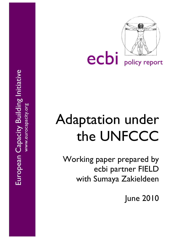

ecbi policy report

# Adaptation under the UNFCCC

Working paper prepared by ecbi partner FIELD with Sumaya Zakieldeen

June 2010

European Capacity Building Initiative European Capacity Building Initiative www.eurocapacity.org www.eurocapacity.org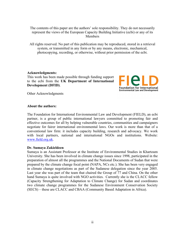The contents of this paper are the authors' sole responsibility. They do not necessarily represent the views of the European Capacity Building Initiative (ecbi) or any of its Members

All rights reserved. No part of this publication may be reproduced, stored in a retrieval system, or transmitted in any form or by any means, electronic, mechanical, photocopying, recording, or otherwise, without prior permission of the ecbi.

#### **Acknowledgments:**

This work has been made possible through funding support to the ecbi from the **UK Department of International Development (DFID)**.



Other Acknowledgments

#### **About the authors:**

The Foundation for International Environmental Law and Development (FIELD), an ecbi partner, is a group of public international lawyers committed to promoting fair and effective outcomes for all by helping vulnerable countries, communities and campaigners negotiate for fairer international environmental laws. Our work is more than that of a conventional law firm: it includes capacity building, research and advocacy. We work with local partners, national and international NGOs and institutions. Website: www.field.org.uk.

#### **Dr. Sumaya Zakieldeen**

Sumaya is an Assistant Professor at the Institute of Environmental Studies in Khartoum University. She has been involved in climate change issues since 1998, participated in the preparation of almost all the programmes and the National Documents of Sudan that were prepared by the climate change focal point (NAPA, NCs etc.). She has been very engaged in climate change negotiations as part of the Sudanese delegation since the year 2005. Last year she was part of the team that chaired the Group of 77 and China. On the other hand Sumaya is quite involved with NGO activities. Currently she is the CLACC fellow (Capacity Strengthening for Adaptation to Climate Change) for Sudan and coordinates two climate change programmes for the Sudanese Environment Conservation Society (SECS) – these are CLACC and CBAA (Community Based Adaptation in Africa).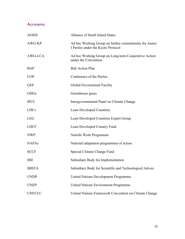## Acronyms

| <b>AOSIS</b>  | Alliance of Small Island States                                                             |
|---------------|---------------------------------------------------------------------------------------------|
| AWG-KP        | Ad hoc Working Group on further commitments for Annex<br>I Parties under the Kyoto Protocol |
| AWG-LCA       | Ad hoc Working Group on Long-term Cooperative Action<br>under the Convention                |
| <b>BAP</b>    | <b>Bali Action Plan</b>                                                                     |
| <b>COP</b>    | Conference of the Parties                                                                   |
| <b>GEF</b>    | Global Environment Facility                                                                 |
| <b>GHGs</b>   | Greenhouse gases                                                                            |
| <b>IPCC</b>   | Intergovernmental Panel on Climate Change                                                   |
| <b>LDCs</b>   | <b>Least Developed Countries</b>                                                            |
| <b>LEG</b>    | <b>Least Developed Countries Expert Group</b>                                               |
| <b>LDCF</b>   | <b>Least Developed Country Fund</b>                                                         |
| <b>NWP</b>    | Nairobi Work Programme                                                                      |
| <b>NAPAs</b>  | National adaptation programmes of action                                                    |
| <b>SCCF</b>   | Special Climate Change Fund                                                                 |
| <b>SBI</b>    | Subsidiary Body for Implementation                                                          |
| <b>SBSTA</b>  | Subsidiary Body for Scientific and Technological Advice                                     |
| <b>UNDP</b>   | <b>United Nations Development Programme</b>                                                 |
| <b>UNEP</b>   | <b>United Nations Environment Programme</b>                                                 |
| <b>UNFCCC</b> | United Nations Framework Convention on Climate Change                                       |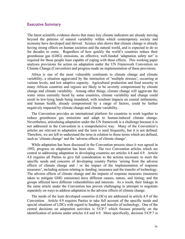### Executive Summary

The latest scientific evidence shows that many key climate indicators are already moving beyond the patterns of natural variability within which contemporary society and economy have developed and thrived. Science also shows that climate change is already having strong effects on human societies and the natural world, and is expected to do so for decades to come. Regardless of how quickly the world's countries reduce their greenhouse gas (GHG) emissions, an effective, well-funded 'adaptation safety net' is required for those people least capable of coping with these effects. This working paper analyses provisions for action on adaptation under the UN Framework Convention on Climate Change (Convention) and progress made on implementation of these provisions.

Africa is one of the most vulnerable continents to climate change and climate variability, a situation aggravated by the interaction of 'multiple stresses', occurring at various levels, and low adaptive capacity. Agricultural production and food security in many African countries and regions are likely to be severely compromised by climate change and climate variability. Among other things, climate change will aggravate the water stress currently faced by some countries, climate variability and change could result in low-lying lands being inundated, with resultant impacts on coastal settlements; and human health, already compromised by a range of factors, could be further negatively impacted by climate change and climate variability.

The Convention provides an international platform for countries to work together to reduce greenhouse gas emissions and adapt to human-induced climate change. Nevertheless, articulating adaptation under the UN framework is a challenge because it is not addressed in the Convention in a comprehensive way. Many of the Convention's articles are relevant to adaptation and the term is used frequently, but it is not defined. Therefore, we are left to understand the term in relation to those terms which are defined, such as 'climate change' and the 'adverse effects of climate change'.

While adaptation has been discussed in the Convention process since it was agreed in 1992, progress on adaptation has been slow. The two Convention articles which are central to addressing adaptation in developing countries are articles 4.8 and 4.9. Article 4.8 requires all Parties to give full consideration to the actions necessary to meet the specific needs and concerns of developing country Parties 'arising from the adverse effects of climate change and / or the impact of the implementation of response measures', including actions relating to funding, insurance and the transfer of technology. The adverse effects of climate change and the impacts of response measures (measures taken to mitigate GHG emissions) have different causes, nature, and timing; and the groups affected have different vulnerabilities and interests. As a result, their linkage in the same article under the Convention has proven challenging in attempts to negotiate separately on ways to address adaptation to the adverse effects of climate change.

The needs of the least developed countries (LDCs) are addressed in article 4.9 of the Convention. Article 4.9 requires Parties to take full account of the specific needs and special situations of LDCs with regard to funding and transfer of technology. One of the central decisions on adaptation activities is 5/CP.7 which focuses primarily on the identification of actions under articles 4.8 and 4.9. More specifically, decision 5/CP.7 is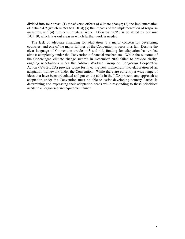divided into four areas: (1) the adverse effects of climate change; (2) the implementation of Article 4.9 (which relates to LDCs); (3) the impacts of the implementation of response measures; and (4) further multilateral work. Decision 5/CP.7 is bolstered by decision 1/CP.10, which lays out areas in which further work is needed.

The lack of adequate financing for adaptation is a major concern for developing countries, and one of the major failings of the Convention process thus far. Despite the clear language of Convention articles 4.3 and 4.4, funding for adaptation has eroded almost completely under the Convention's financial mechanism. While the outcome of the Copenhagen climate change summit in December 2009 failed to provide clarity, ongoing negotiations under the Ad-hoc Working Group on Long-term Cooperative Action (AWG-LCA) provide scope for injecting new momentum into elaboration of an adaptation framework under the Convention. While there are currently a wide range of ideas that have been articulated and put on the table in the LCA process, any approach to adaptation under the Convention must be able to assist developing country Parties in determining and expressing their adaptation needs while responding to these prioritised needs in an organised and equitable manner.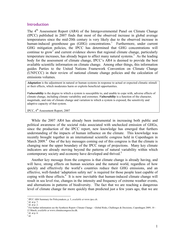#### Introduction

The 4<sup>th</sup> Assessment Report (AR4) of the Intergovernmental Panel on Climate Change (IPCC) published in 2007 finds that most of the observed increase in global average temperatures since the mid-20th century is very likely due to the observed increase in human-induced greenhouse gas (GHG) concentrations.<sup>1</sup> Furthermore, under current GHG mitigation policies, the IPCC has determined that GHG concentrations will continue to grow<sup>2</sup> and current evidence shows that regional climate change, particularly temperature increases, has already begun to affect many natural systems.<sup>3</sup> As the leading body for the assessment of climate change, IPCC's AR4 is deemed to provide the best available scientific information on climate change. Among other things, this information guides Parties to the United Nations Framework Convention on Climate Change (UNFCCC) in their review of national climate change policies and the calculation of emissions volumes.

*Adaptation* is the adjustment in natural or human systems in response to actual or expected climatic stimuli or their effects, which moderates harm or exploits beneficial opportunities.

*Vulnerability* is the degree to which a system is susceptible to, and unable to cope with, adverse effects of climate change, including climate variability and extremes. *Vulnerability* is a function of the character, magnitude, and rate of climate change and variation to which a system is exposed, the sensitivity and adaptive capacity of that system.

IPCC, 4th Assessment Report, 2007

While the 2007 AR4 has already been instrumental in increasing both public and political awareness of the societal risks associated with unchecked emission of GHGs, since the production of the IPCC report, new knowledge has emerged that furthers understanding of the impacts of human influence on the climate. This knowledge was recently brought together in an international scientific congress held in Copenhagen in March  $2009<sup>4</sup>$  One of the key messages coming out of this congress is that the climate is changing near the upper boundary of the IPCC range of projections. Many key climate indicators are already moving beyond the patterns of natural variability within which contemporary society and economy have developed and thrived.<sup>5</sup>

Another key message from the congress is that climate change is already having, and will have, strong effects on human societies and the natural world, regardless of how quickly and effectively the world's countries reduce their GHG emissions, and an effective, well-funded 'adaptation safety net' is required for those people least capable of coping with these effects. $6$  It is now inevitable that human-induced climate change will result in sea level rise, changes in the intensity and frequency of extreme weather events, and alternations in patterns of biodiversity. The fact that we are reaching a dangerous level of climate change far more quickly than predicted just a few years ago, that we are

 $\frac{1}{1}$ <sup>1</sup> IPCC AR4 Summary for Policymakers, p. 5, *available at* www.ipcc.ch.

<sup>2</sup> *Id*. at p. 7.

<sup>3</sup> *Id*. at p. 2.

<sup>4</sup> For further information see the Synthesis Report: Climate Change – Global Risks, Challenges & Decisions, Copenhagen 2009, 10 – 12 March, *available at* www.climatecongress.ku.dk.

<sup>5</sup> *Id*. at p. 6.

 $^6$   $\mathit{Id}.$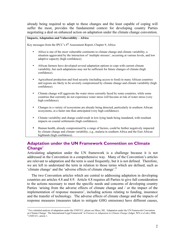already being required to adapt to these changes and the least capable of coping will suffer the most, provides the fundamental context for developing country Parties negotiating a deal on enhanced action on adaptation under the climate change convention.

#### **Impacts, Adaptation and Vulnerability – Africa**

Key messages from the IPCC's 4<sup>th</sup> Assessment Report, Chapter 9, Africa

- Africa is one of the most vulnerable continents to climate change and climate variability, a situation aggravated by the interaction of 'multiple stresses', occurring at various levels, and low adaptive capacity (high confidence).
- African farmers have developed several adaptation options to cope with current climate variability, but such adaptations may not be sufficient for future changes of climate (high confidence).
- Agricultural production and food security (including access to food) in many African countries and regions are likely to be severely compromised by climate change and climate variability (high confidence).
- Climate change will aggravate the water stress currently faced by some countries, while some countries that currently do not experience water stress will become at risk of water stress (very high confidence).
- Changes in a variety of ecosystems are already being detected, particularly in southern African ecosystems, at a faster rate than anticipated (very high confidence).
- Climate variability and change could result in low-lying lands being inundated, with resultant impacts on coastal settlements (high confidence).
- Human health, already compromised by a range of factors, could be further negatively impacted by climate change and climate variability, e.g., malaria in southern Africa and the East African highlands (high confidence).

## **Adaptation under the UN Framework Convention on Climate Change**<sup>7</sup>

Articulating adaptation under the UN framework is a challenge because it is not addressed in the Convention in a comprehensive way. Many of the Convention's articles are relevant to adaptation and the term is used frequently, but it is not defined. Therefore, we are left to understand the term in relation to those terms which are defined, such as 'climate change' and the 'adverse effects of climate change'.8

The two Convention articles which are central to addressing adaptation in developing countries are articles 4.8 and 4.9. Article 4.8 requires all Parties to give full consideration to the actions necessary to meet the specific needs and concerns of developing country Parties 'arising from the adverse effects of climate change and / or the impact of the implementation of response measures', including actions relating to funding, insurance and the transfer of technology. The adverse effects of climate change and the impacts of response measures (measures taken to mitigate GHG emissions) have different causes,

<sup>-&</sup>lt;br>7  $^7$  For a detailed analysis of adaptation under the UNFCCC, please see Mace, MJ, 'Adaptation under the UN Framework Convention on Climate Change: The International Legal Framework' in *Fairness in Adaptation to Climate Change* (Adger, WN *et al* eds.) 2006.

<sup>8</sup> UNFCCC, article 1.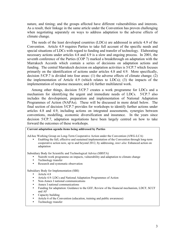nature, and timing; and the groups affected have different vulnerabilities and interests. As a result, their linkage in the same article under the Convention has proven challenging when negotiating separately on ways to address adaptation to the adverse effects of climate change.

The needs of the least developed countries (LDCs) are addressed in article 4.9 of the Convention. Article 4.9 requires Parties to take full account of the specific needs and special situations of LDCs with regard to funding and transfer of technology. Elaborating necessary actions under articles 4.8 and 4.9 is a slow and ongoing process. In 2001, the seventh conference of the Parties (COP 7) marked a breakthrough on adaptation with the Marrakech Accords which contain a series of decisions on adaptation actions and funding. The central Marrakech decision on adaptation activities is 5/CP.7 which focuses primarily on the identification of actions under articles 4.8 and 4.9. More specifically, decision 5/CP.7 is divided into four areas: (1) the adverse effects of climate change; (2) the implementation of Article 4.9 (which relates to LDCs); (3) the impacts of the implementation of response measures; and (4) further multilateral work.

Among other things, decision 5/CP.7 creates a work programme for LDCs and a mechanism for identifying the urgent and immediate needs of LDCs. 5/CP.7 also includes the development, preparation and implementation of National Adaptation Programmes of Action (NAPAs). These will be discussed in more detail below. The final section of decision 5/CP.7 provides for workshops to identify further actions under articles 4.8 and 4.9, including actions on integrated assessments, synergies between conventions, modelling, economic diversification and insurance. In the years since decision 5/CP.7, adaptation negotiations have been largely centred on how to take forward the outcomes of these workshops.

#### **Current adaptation agenda items being addressed by Parties**

Ad-hoc Working Group on Long-Term Cooperative Action under the Convention (AWG-LCA)

• Enabling the full, effective and sustained implementation of the Convention through long-term cooperative action now, up to and beyond 2012, by addressing, *inter alia*: Enhanced action on adaptation

Subsidiary Body for Scientific and Technological Advice (SBSTA)

- Nairobi work programme on impacts, vulnerability and adaptation to climate change<br>• Technology transfer
- Technology transfer
- Research and systematic observation

Subsidiary Body for Implementation (SBI)

- Article 4.8
- Article 4.9: LDCs and National Adaptation Programmes of Action
- Non-Annex I national communications
- Annex I national communications
- Funding for adaptation: Guidance to the GEF, Review of the financial mechanism, LDCF, SCCF and AF
- Capacity building
- Article 6 of the Convention (education, training and public awareness)
- Technology transfer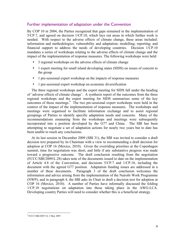## Further implementation of adaptation under the Convention

By COP 10 in 2004, the Parties recognized that gaps remained in the implementation of 5/CP.7, and agreed on decision 1/CP.10, which lays out areas in which further work is needed. With respect to the adverse effects of climate change, these areas included: information and methodologies; vulnerability and adaptation; modelling; reporting; and financial support to address the needs of developing countries. Decision 1/CP.10 mandates a series of workshops relating to the adverse effects of climate change and the impact of the implementation of response measures. The following workshops were held:

- 3 regional workshops on the adverse effects of climate change
- 1 expert meeting for small island developing states (SIDS) on issues of concern to the group
- 1 pre-sessional expert workshop on the impacts of response measures
- 1 pre-sessional expert workshop on economic diversification

The three regional workshops and the expert meeting for SIDS fall under the heading of 'adverse effects of climate change'. A synthesis report of the outcomes from the three regional workshops and the expert meeting for SIDS summarises some of the key outcomes of those meetings.<sup>9</sup> The two pre-sessional expert workshops were held in the context of the impact of the implementation of response measures. The workshops and meetings were organised to facilitate information exchange and to assist regional groupings of Parties to identify specific adaptation needs and concerns. Many of the recommendations emanating from the workshops and meetings were subsequently incorporated into a position developed by the G77 and China. The SBI has been attempting to negotiate a set of adaptation actions for nearly two years but to date has been unable to reach any conclusions.

At its last session in December 2009 (SBI 31), the SBI was invited to consider a draft decision text prepared by its Chairman with a view to recommending a draft decision for adoption at COP 16 (Mexico, 2010). Given the overriding priorities at the Copenhagen summit, time for negotiation was short, and little if any substantive progress was made toward a progressive outcome. The draft conclusion resulting from the negotiation (FCCC/SBI/2009/L.28) takes note of the documents issued to date on the implementation of Article 4.8 of the Convention, and decisions 5/CP.7 and 1/CP.10, including the document with the agreed G77 position. Adaptation funding issues are addressed in a number of these documents. Paragraph 3 of the draft conclusion welcomes the information and advice arising from the implementation of the Nairobi Work Programme (NWP); and in paragraph 4, the SBI asks its Chair to draft a decision text for adoption at COP 16 (Mexico, 2010). A number of Parties have informally discussed the folding 1/CP.10 negotiations on adaptation into those taking place in the AWG-LCA. Developing country Parties will need to consider whether this is a beneficial strategy.

<sup>-&</sup>lt;br>9 FCCC/SBI/2007/14, 3 May 2007.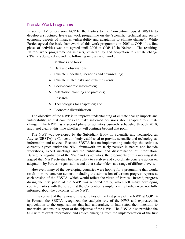#### Nairobi Work Programme

In section IV of decision 1/CP.10 the Parties to the Convention request SBSTA to develop a structured five-year work programme on the 'scientific, technical and socioeconomic aspects of impacts, vulnerability and adaptation to climate change'. While Parties agreed the basic framework of this work programme in 2005 at COP 11, a first phase of activities was not agreed until 2006 at COP 12 in Nairobi. The resulting, Nairobi work programme on impacts, vulnerability and adaptation to climate change (NWP) is designed around the following nine areas of work:

- 1. Methods and tools;
- 2. Data and observations;
- 3. Climate modelling, scenarios and downscaling;
- 4. Climate related risks and extreme events;
- 5. Socio-economic information;
- 6. Adaptation planning and practices;
- 7. Research;
- 8. Technologies for adaptation; and
- 9. Economic diversification

The objective of the NWP is to improve understanding of climate change impacts and vulnerability, so that countries can make informed decisions about adapting to climate change. The NWP has a second phase of activities currently scheduled through 2010, and it not clear at this time whether it will continue beyond that point.

The NWP was developed by the Subsidiary Body on Scientific and Technological Advice (SBSTA), a Convention body established to provide scientific and technological information and advice. Because SBSTA has no implementing authority, the activities currently agreed under the NWP framework are fairly passive in nature and include workshops, expert meetings and the publication and dissemination of information. During the negotiation of the NWP and its activities, the proponents of this working style argued that NWP activities had the ability to catalyse and co-ordinate concrete action on adaptation by Parties, organisations and other stakeholders at a range of different levels.

However, many of the developing countries were hoping for a programme that would result in more concrete actions, including the submission of written progress reports at each session of the SBSTA, which would reflect the views of Parties. Instead, progress during the first phase of the NWP was reported orally, which left many developing country Parties with the sense that the Convention's implementing bodies were not fully informed about the outcomes of the NWP.

In the context of the review of the activities of the first phase of the NWP at COP 14 in Poznan, the SBSTA recognized the catalytic role of the NWP and expressed its appreciation to the organisations that had undertaken, or had stated their intention to undertake, actions in support of the objective of the NWP. The SBSTA also provided the SBI with relevant information and advice emerging from the implementation of the first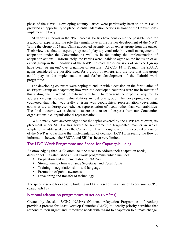phase of the NWP. Developing country Parties were particularly keen to do this as it provided an opportunity to place potential adaptation actions in front of the Convention's implementing body.

At various intervals in the NWP process, Parties have considered the possible need for a group of experts and the role they might have in the further development of the NWP. While the Group of 77 and China advocated strongly for an expert group from the outset. Their view was that an expert group could play a pivotal role in overall management of adaptation under the Convention as well as in facilitating the implementation of adaptation actions. Unfortunately, the Parties were unable to agree on the inclusion of an expert group in the modalities of the NWP. Instead, the discussions of an expert group have been 'strung out' over a number of sessions. At COP 14 in Poznan, the SBSTA again considered the possible need for a group of experts and the role that this group could play in the implementation and further development of the Nairobi work programme.

The developing countries were hoping to end up with a decision on the formulation of an Expert Group on adaptation; however, the developed countries were not in favour of this stating that it would be extremely difficult to represent the expertise required to address varying regional vulnerabilities in just one group. The developing countries countered that what was really at issue was geographical representation (developing countries are underrepresented), i.e. representation of needs rather than vulnerabilities. The final outcome was a decision to create a roster of experts from non-Convention organisations, i.e. organisational representation.

.While many have acknowledged that the topics covered by the NWP are relevant, its placement under SBSTA has served to re-enforce the fragmented manner in which adaptation is addressed under the Convention. Even though one of the expected outcomes of the NWP is to facilitate the implementation of decision 1/CP.10, in reality the flow of information between the SBSTA and SBI has been very limited.

## The LDC Work Programme and Scope for Capacity-building

Acknowledging that LDCs often lack the means to address their adaptation needs, decision 5/CP.7 established an LDC work programme, which includes:

- Preparation and implementation of NAPAs
- Strengthening climate change Secretariat and Focal Points
- Training in negotiation skills and language
- Promotion of public awareness
- Developing and transfer of technology

The specific scope for capacity building in LDCs is set out in an annex to decision 2/CP.7 (paragraph 17).

## National adaptation programmes of action (NAPAs)

Created by decision 5/CP.7, NAPAs (National Adaptation Programmes of Action) provide a process for Least Develop Countries (LDCs) to identify priority activities that respond to their urgent and immediate needs with regard to adaptation to climate change.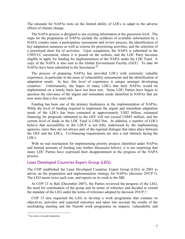The rationale for NAPAs rests on the limited ability of LDCs to adapt to the adverse effects of climate change.

The NAPA process is designed to use existing information at the grassroots level. The steps for the preparation of NAPAs include the synthesis of available information by a NAPA country team, a participatory assessment and review process, the identification of key adaptation measures as well as criteria for prioritizing activities, and the selection of a prioritized short list of activities. Upon completion, the NAPA is submitted to the UNFCCC secretariat, where it is posted on the website, and the LDC Party becomes eligible to apply for funding for implementation of the NAPA under the LDC Fund. A copy of the NAPA is also sent to the Global Environment Facility (GEF). To date 44 NAPAs have been submitted to the Secretariat.<sup>10</sup>

The process of preparing NAPAs has provided LDCs with extremely valuable experience, in particular in the areas of vulnerability assessments and the identification of adaptation needs. In fact, this level of experience is unique amongst developing countries. Unfortunately, the hopes of many LDCs that their NAPAs would be implemented on a timely basis have not been met. Some LDC Parties have begun to question the relevance of the urgent and immediate needs identified in NAPAs that are now more than a few years old.

Funding has been one of the primary hindrances in the implementation of NAPAs. While the level of funding required to implement the urgent and immediate adaptation needs of the LDCs has been estimated at approximately US\$2 billion, estimated financing for proposals submitted to the GEF will not exceed US\$85 million, and the current level of funds in the LDC Fund is US\$176m. In addition, a number of LDCs believe that accessibility to the LDCF is not fully understood by the implementing agencies, since they are not always part of the regional dialogue that takes place between the GEF and the LDCs. Co-financing requirements are also a real obstacle facing the LDCs.

With no real mechanism for implementing priority projects identified under NAPAs and limited amounts of funding (see further discussion below), it is not surprising that many LDC Parties have expressed their disappointment in the progress of the NAPA process.

## Least Developed Countries Expert Group (LEG)

The COP established the Least Developed Countries Expert Group (LEG) in 2001 to advise on the preparation and implementation strategy for NAPAs (decision 29/CP.7). The LEG meets twice each year, and reports on its work to the SBI.

At COP 13 in Bali (December 2007), the Parties reviewed the progress of the LEG, the need for continuation of the group and its terms of reference and decided to extend the mandate of the LEG under the terms of reference adopted by decision 29/CP.7.

COP 13 also requested the LEG to develop a work programme that contains its objectives, activities and expected outcomes and takes into account the results of the stocktaking meeting and the Nairobi work programme on impacts, vulnerability and

<sup>&</sup>lt;sup>10</sup> See unfccc.int under adaptation.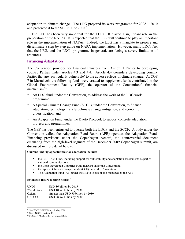adaptation to climate change. The LEG prepared its work programme for 2008 – 2010 and presented it to the SBI in June 2008.<sup>11</sup>

The LEG has been very important for the LDCs. It played a significant role in the preparation of the NAPAs. It is expected that the LEG will continue to play an important role in the implementation of NAPAs. Indeed, the LEG has a mandate to prepare and disseminate a step by step guide on NAPA implementation. However, many LDCs feel that the LEG, and the LDCs programme in general, are facing a severe limitation of resources.

## Financing Adaptation

The Convention provides for financial transfers from Annex II Parties to developing country Parties under articles 4.3 and 4.4. Article 4.4 considers developing country Parties that are 'particularly vulnerable' to the adverse effects of climate change. At COP 7 in Marrakech, the following funds were created to supplement funds contributed to the Global Environment Facility (GEF), the operator of the Conventions' financial mechanism $^{12}$ :

- An LDC fund, under the Convention, to address the work of the LDC work programme;
- A Special Climate Change Fund (SCCF), under the Convention, to finance adaptation, technology transfer, climate change mitigation, and economic diversification; and
- An Adaptation Fund, under the Kyoto Protocol, to support concrete adaptation projects and programmes.

The GEF has been entrusted to operate both the LDCF and the SCCF. A body under the Convention called the Adaptation Fund Board (AFB) operates the Adaptation Fund. Financing provisions under the Copenhagen Accord, the controversial document emanating from the high-level segment of the December 2009 Copenhagen summit, are discussed in more detail below.

**Current funding opportunities for adaptation include**:

- the GEF Trust Fund, including support for vulnerability and adaptation assessments as part of national communications;
- the Least Developed Countries Fund (LDCF) under the Convention;
- the Special Climate Change Fund (SCCF) under the Convention;
- The Adaptation Fund (AF) under the Kyoto Protocol and managed by the AFB.

**Estimated future funding needs**: 13

| <b>UNDP</b>   | USD 86 billion by 2015              |
|---------------|-------------------------------------|
| World Bank    | USD $10-40$ billion by $2030$       |
| Oxfam         | Greater than USD 50 billion by 2030 |
| <b>UNFCCC</b> | USD 28-67 billion by 2030           |

<sup>&</sup>lt;sup>11</sup> See FCCC/SBI/2008/6, 19 May 2008.

<sup>&</sup>lt;sup>12</sup> See UNFCCC, article 11.

<sup>13</sup> FCCC/TP/2008/7, 26 November 2008.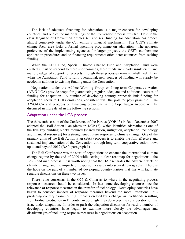The lack of adequate financing for adaptation is a major concern for developing countries, and one of the major failings of the Convention process thus far. Despite the clear language of Convention articles 4.3 and 4.4, funding for adaptation has eroded almost completely under the Convention's financial mechanism. The GEF's climate change focal area lacks a formal operating programme on adaptation. The apparent preference of the implementing agencies for larger projects, the GEF's cumbersome application procedures and co-financing requirements often deter countries from seeking funding.

While the LDC Fund, Special Climate Change Fund and Adaptation Fund were created in part to respond to these shortcomings, these funds are clearly insufficient, and many pledges of support for projects through these processes remain unfulfilled. Even when the Adaptation Fund is fully operational, new sources of funding will clearly be needed in addition to existing funding under the Convention.

Negotiations under the Ad-hoc Working Group on Long-term Cooperative Action (AWG-LCA) provide scope for guaranteeing regular, adequate and additional sources of funding for adaptation. A number of developing country proposals link funding for adaptation needs to GHG emissions, consistent with the polluter pays principle. The AWG-LCA and progress on financing provisions in the Copenhagen Accord will be discussed in more detail in the following sections.

## Adaptation under the LCA process

The thirteenth session of the Conference of the Parties (COP 13) in Bali, December 2007 adopted the Bali Action Plan (decision 1/CP.13), which identifies adaptation as one of the five key building blocks required (shared vision, mitigation, adaptation, technology and financial resources) for a strengthened future response to climate change. One of the primary aims of the Bali Action Plan (BAP) process is to enable the full, effective and sustained implementation of the Convention through long-term cooperative action, now, up to and beyond 2012 (BAP, paragraph 1).

The Bali Conference was the start of negotiations to enhance the international climate change regime by the end of 2009 while setting a clear roadmap for negotiations - the Bali Road map process. It is worth noting that the BAP separates the adverse effects of climate change and the impacts of response measures into separate paragraphs. There is the hope on the part of a number of developing country Parties that this will facilitate separate discussions on these two issues.

There is no consensus in the G77  $\&$  China as to where in the negotiating process response measures should be considered. In fact some developing countries see the relevance of response measures in the transfer of technology. Developing countries have begun to consider impacts of response measures beyond the more 'traditional' oilproducing country examples, e.g. impacts created by a change in livelihoods resulting from biofuel production in Djibouti. Accordingly they do accept the consideration of this issue under adaptation. In order to push the adaptation discussion forward, a number of developing countries have begun to examine more closely the advantages and disadvantages of including response measures in negotiations on adaptation.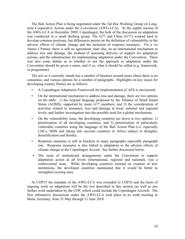The Bali Action Plan is being negotiated under the Ad Hoc Working Group on Longterm Cooperative Action under the Convention (AWG-LCA). At the eighth session of the AWG-LCA in December 2009, Copenhagen, the bulk of the discussion on adaptation was conducted in a small drafting group. The G77 and China (G77) worked hard to develop common positions, but differences persist on the definition of vulnerability to the adverse effects of climate change and the inclusion of response measures. Vis a vis Annex I Parties, there is still no agreement, inter alia, on an international mechanism to address loss and damage, the method of assessing delivery of support for adaptation actions, and the infrastructure for implementing adaptation under the Convention. There was also some debate as to whether or not the approach to adaptation under the Convention should be given a name, and if so, what it should be called (e.g. framework, or programme).

The text as it currently stands has a number of brackets around areas where there is no consensus, and various options for a number of paragraphs. Highlights on key issues for developing country Parties are as follows:

- A Copenhagen Adaptation Framework for Implementation (CAFI) is envisioned;
- On the international mechanism to address loss and damage, there are two options on the table: 1) the original language proposed by the Alliance of Small Island States (AOSIS), supported by many G77 members; and 2) the consideration of activities related to insurance, loss and damage at local, national and regional levels, and further investigation into the possible need for a global mechanism;
- On the vulnerability issue, the developing countries are down to two options: 1) prioritisation of all developing countries; and 2) prioritisation of particularly vulnerable countries using the language of the Bali Action Plan (i.e. especially LDCs, SIDS and taking into account countries in Africa subject to droughts, desertification and floods);
- Response measures is still in brackets in many paragraphs especially paragraph one. Response measures is also linked to adaptation to the adverse effects of climate change in the Copenhagen Accord. See further discussion below.
- The issue of institutional arrangements under the Convention to support adaptation action at all levels (international, regional and national), was a controversial issue. While developing countries insisted on creation of new institutions, the developed countries maintained that it would be better to strengthen existing ones.

At COP15 the mandate of the AWG-LCA was extended to COP16 and the basis of ongoing work on adaptation will be the text described in this section (as well as any further work undertaken by the COP, which could include the Copenhagen Accord). The first substantive discussions under the AWG-LCA took place at its tenth meeting in Bonn, Germany, from 31 May through 11 June 2010.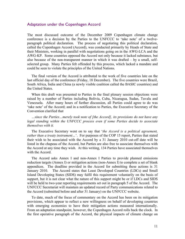## Adaptation under the Copenhagen Accord

The most discussed outcome of the December 2009 Copenhagen climate change conference is a decision by the Parties to the UNFCCC to 'take note' of a twelveparagraph political declaration. The process of negotiating this political declaration, called the Copenhagen Accord (Accord), was conducted primarily by Heads of State and their Ministers, working in parallel with negotiations going on in the AWG-LCA and the AWG-KP. Some countries opposed the Accord not only because it lacked substance, but also because of the non-transparent manner in which it was drafted – by a small, selfselected group. Many Parties felt offended by this process, which lacked a mandate and could be seen to violate the principles of the United Nations.

The final version of the Accord is attributed to the work of five countries late on the last official day of the conference (Friday, 18 December). The five countries were Brazil, South Africa, India and China (a newly visible coalition called the BASIC countries) and the United States.

When this draft was presented to Parties in the final plenary session objections were raised by a number of Parties including Bolivia, Cuba, Nicaragua, Sudan, Tuvalu and Venezuela. After many hours of further discussion, all Parties could agree to do was 'take note' of the Accord; and in a notification to Parties, the Executive Secretary of the Convention clarified that

*…since the Parties…merely took note of [the Accord], its provisions do not have any legal standing within the UNFCCC process even if some Parties decide to associate themselves with it.* 

The Executive Secretary went on to say that '*the Accord is a political agreement, rather than a treaty instrument…*'. For purposes of the COP 15 report, Parties that stated their wish to be associated with the Accord by a 31 January 2010 cut-off date will be listed in the chapeau of the Accord, but Parties are also free to associate themselves with the Accord at any time they wish. At this writing, 134 Parties have associated themselves with the Accord.

The Accord asks Annex I and non-Annex I Parties to provide planned emissions reduction targets (Annex I) or mitigation actions (non-Annex I) to complete a set of blank appendices. The deadline provided in the Accord for submitting these actions is 31 January 2010. The Accord states that Least Developed Countries (LDCs) and Small Island Developing States (SIDS) may fulfil this requirement voluntarily on the basis of support, but it is not clear what the nature of this support might be or if LDCs and SIDS will be held to two-year reporting requirements set out in paragraph 5 of the Accord. The UNFCCC Secretariat will maintain an updated record of Party communications related to the Accord (submitted before and after 31 January) on the UNFCCC website.

To date, much of the focus of commentary on the Accord has been on its mitigation provisions, which appear to reflect a new willingness on behalf of developing countries with emerging economies to have their mitigation actions measured internationally. From an adaptation standpoint, however, the Copenhagen Accord rolls back the clock. In the first operative paragraph of the Accord, the physical impacts of climate change on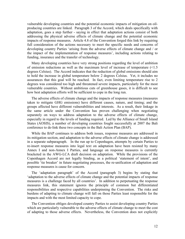vulnerable developing countries and the potential economic impacts of mitigation on oilproducing countries are linked. Paragraph 3 of the Accord, which deals specifically with adaptation, goes a step further - saying in effect that adaptation actions consist of both addressing the physical adverse effects of climate change and the potential economic impacts of response measures. Article 4.8 of the Convention forged this link by requiring full consideration of the actions necessary to meet the specific needs and concerns of developing country Parties 'arising from the adverse effects of climate change and / or the impact of the implementation of response measures', including actions relating to funding, insurance and the transfer of technology.

Many developing countries have very strong positions regarding the level of ambition of emission reductions as well as the maximum level of increase of temperature (<1.5 degrees Celsius). The Accord indicates that the reduction of global emissions should aim to hold the increase in global temperature below 2 degrees Celsius. Yet, it includes no assurances that this goal will be reached. In fact, even limiting temperature rise to 2 degrees was considered too high and threatened severe impacts, particularly for the most vulnerable countries. Without ambitious cuts of greenhouse gases, it is difficult to see how best adaptation efforts will be sufficient to cope in the long run.

The adverse effects of climate change and the impacts of response measures (measures taken to mitigate GHG emissions) have different causes, nature, and timing; and the groups affected have different vulnerabilities and interests. As a result, their linkage in the same article under the Convention has proven challenging when negotiating separately on ways to address adaptation to the adverse effects of climate change, especially in regard to the levels of funding required. Led by the Alliance of Small Island States (AOSIS), a number of developing countries fought successfully at 2007 the Bali conference to de-link these two concepts in the Bali Action Plan (BAP).

While the BAP continues to address both issues, response measures are addressed in its mitigation section, and adaptation to the adverse effects of climate change is addressed in a separate subparagraph. In the run up to Copenhagen, attempts by certain Parties to re-insert response measures into legal text on adaptation have been resisted by many Annex I and non-Annex I Parties, and language on response measures is currently bracketed in the AWG-LCA draft decision on adaptation. While the provisions of the Copenhagen Accord are not legally binding, as a political 'statement of intent', and possible 'tie breaker' in future negotiating processes, the re-unification of adaptation and response measures is cause for concern.

The 'adaptation paragraph' of the Accord (paragraph 3) begins by stating that 'adaptation to the adverse effects of climate change and the potential impacts of response measures is a challenge faced by all countries'. In addition to perpetuating the response measures link, this statement ignores the principle of common but differentiated responsibilities and respective capabilities underpinning the Convention. The risks and burdens of adapting to climate change will fall on those Parties least responsible for the impacts and with the most limited capacity to cope.

The Convention obliges developed country Parties to assist developing country Parties which are particularly vulnerable to the adverse effects of climate change to meet the cost of adapting to those adverse effects. Nevertheless, the Convention does not explicitly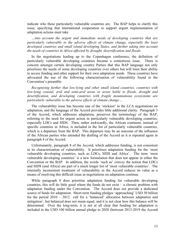indicate who these particularly vulnerable countries are. The BAP helps to clarify this issue, specifying that international cooperation to support urgent implementation of adaptation actions must take

*…into account the urgent and immediate needs of developing countries that are particularly vulnerable to the adverse effects of climate change, especially the least developed countries and small island developing States, and further taking into account the needs of countries in Africa affected by drought, desertification and floods.* 

In the negotiations leading up to the Copenhagen conference, the definition of particularly vulnerable developing countries became a contentious issue. There is concern amongst certain developing country Parties that this BAP language not only prioritises the needs of some developing countries over others but will limit their ability to access funding and other support for their own adaptation needs. These countries have advocated the use of the following characterisation of vulnerability found in the Convention's preamble:

*Recognising further that low-lying and other small island countries, countries with low-lying coastal, arid and semi-arid areas or areas liable to floods, drought and desertification, and developing countries with fragile mountainous ecosystems are particularly vulnerable to the adverse effects of climate change…* 

The vulnerability issue has become one of the 'stickiest' in the LCA negotiations on adaptation, and the language of the Accord provides little additional clarity. Paragraph 3 of the Accord, which addresses adaptation, preserves the terminology of the BAP, referring to the need for urgent action in particularly vulnerable developing countries, especially LDCs and SIDS. Then, rather awkwardly, the African continent, instead of specific countries in Africa, is included in the list of particularly vulnerable countries, which is a departure from the BAP. This departure may be an outcome of the influence of the African parties who attended the drafting of the Accord as it is repeated again in paragraph 8 of the Accord.

Unfortunately, paragraph 8 of the Accord, which addresses funding, is not consistent in its characterisation of vulnerability. It prioritises adaptation funding for the 'most vulnerable developing countries, such as LDCs, SIDS and Africa'. The term 'most vulnerable developing countries' is a new formulation that does not appear in either the Convention or the BAP. In addition, the words 'such as' convey the notion that LDCs and SIDS (and Africa) are part of a much longer list of 'most vulnerable countries'. The internally inconsistent treatment of vulnerability in the Accord reduces its value as a means of resolving this difficult issue as negotiations on adaptation continue.

While paragraph 8 does prioritise adaptation funding for vulnerable developing countries, this will do little good where the funds do not exist – a chronic problem with adaptation funding under the Convention. The Accord does not provide a dedicated source of funds for adaptation. Short-term funding pledges 'approaching' USD 30 billion for the period 2010 – 2012 call for a 'balanced' allocation between adaptation and mitigation', but balanced does not mean equal, and it is not clear how this balance will be determined. Over the long-term, it is not at all clear that funding for adaptation is included in the USD 100 billion annual pledge to 2020 (between 2013-2019 the Accord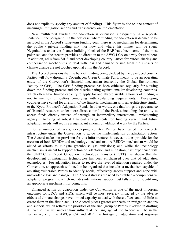does not explicitly specify any amount of funding). This figure is tied to 'the context of meaningful mitigation actions and transparency on implementation'.

New multilateral funding for adaptation is discussed subsequently in a separate sentence in the paragraph. In the best case, where funding for adaptation is deemed to be included in the Accord's long-term funding goal, there is no mechanism for determining the public / private funding mix, nor how and where this money will be spent. Negotiations under the finance building block of the BAP have been some of the most polarised, and the Accord provides no direction to the AWG-LCA on a way forward here. In addition, calls from SIDS and other developing country Parties for burden-sharing and compensation mechanisms to deal with loss and damage arising from the impacts of climate change are not touched upon at all in the Accord.

The Accord envisions that the bulk of funding being pledged by the developed country Parties will flow through a Copenhagen Green Climate Fund, meant to be an operating entity of the Convention's financial mechanism (currently the Global Environment Facility or GEF). The GEF funding process has been criticised regularly for slowing down the funding process and for discriminating against smaller developing countries, which often have limited capacity to apply for and absorb sizable amounts of funding – not to mention difficulties complying with co-funding requirements. Developing countries have called for a reform of the financial mechanism with an architecture similar to the Kyoto Protocol's Adaptation Fund. In other words, one that brings the governance of financial resources under more direct control of the Parties, including the ability to access funds directly instead of through an intermediary international implementing agency. Arriving at robust financial arrangements for funding current and future adaptation needs will require a significant amount of additional work by the Parties.

For a number of years, developing country Parties have called for concrete infrastructure under the Convention to guide the implementation of adaptation action. The Accord makes no provision for this infrastructure; however, it does provide for the creation of both REDD+ and technology mechanisms. A REDD+ mechanism would be aimed at efforts to mitigate greenhouse gas emissions; and while the technology mechanism is meant to support action on adaptation and mitigation, past experience with the UNFCCC's Expert Group on Technology Transfer (EGTT) has shown that the development of mitigation technologies has been emphasised over that of adaptation technologies. For adaptation issues to receive the level of attention required under the Convention, an approach will need to be organised that includes a mechanism capable of assisting vulnerable Parties to identify needs, effectively access support and cope with unavoidable loss and damage. The Accord stresses the need to establish a comprehensive adaptation programme which includes international support, but falls short of identifying an appropriate mechanism for doing this.

Enhanced action on adaptation under the Convention is one of the most important outcomes for LDCs and SIDS, which will be most severely impacted by the adverse effects of climate change, have limited capacity to deal with these effects and did little to create them in the first place. The Accord places greater emphasis on mitigation actions and support, which reflects the priorities of the final group of Parties involved in drafting it. While it is yet unclear how influential the language of the Accord will be in the further work of the AWGs-LCA and -KP, the linkage of adaptation and response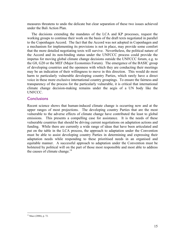measures threatens to undo the delicate but clear separation of these two issues achieved under the Bali Action Plan.

The decisions extending the mandates of the LCA and KP processes, request the working groups to continue their work on the basis of the draft texts negotiated in parallel to the Copenhagen Accord. The fact that the Accord was not adopted in Copenhagen and a mechanism for implementing its provisions is not in place, may provide some comfort that the more detailed negotiating texts will survive. Nevertheless, the political nature of the Accord and its non-binding status under the UNFCCC process could provide the impetus for moving global climate change decisions outside the UNFCCC forum, e.g. to the G8, G20 or the MEF (Major Economies Forum). The emergence of the BASIC group of developing countries and the openness with which they are conducting their meetings may be an indication of their willingness to move in this direction. This would do most harm to particularly vulnerable developing country Parties, which rarely have a direct voice in these more exclusive international country groupings. To ensure the fairness and transparency of the process for the particularly vulnerable, it is critical that international climate change decision-making remains under the aegis of a UN body like the UNFCCC.

## **Conclusions**

Recent science shows that human-induced climate change is occurring now and at the upper ranges of most projections. The developing country Parties that are the most vulnerable to the adverse effects of climate change have contributed the least to global emissions. This presents a compelling case for assistance. It is the needs of these vulnerable countries that should be driving current negotiations on adaptation actions and funding. While there are currently a wide range of ideas that have been articulated and put on the table in the LCA process, the approach to adaptation under the Convention must be able to assist developing country Parties in determining and expressing their adaptation needs while responding to these prioritised needs in an organised and equitable manner. A successful approach to adaptation under the Convention must be bolstered by political will on the part of those most responsible and most able to address the causes of climate change. $14$ 

<sup>&</sup>lt;sup>14</sup> Mace (2006), p. 72.